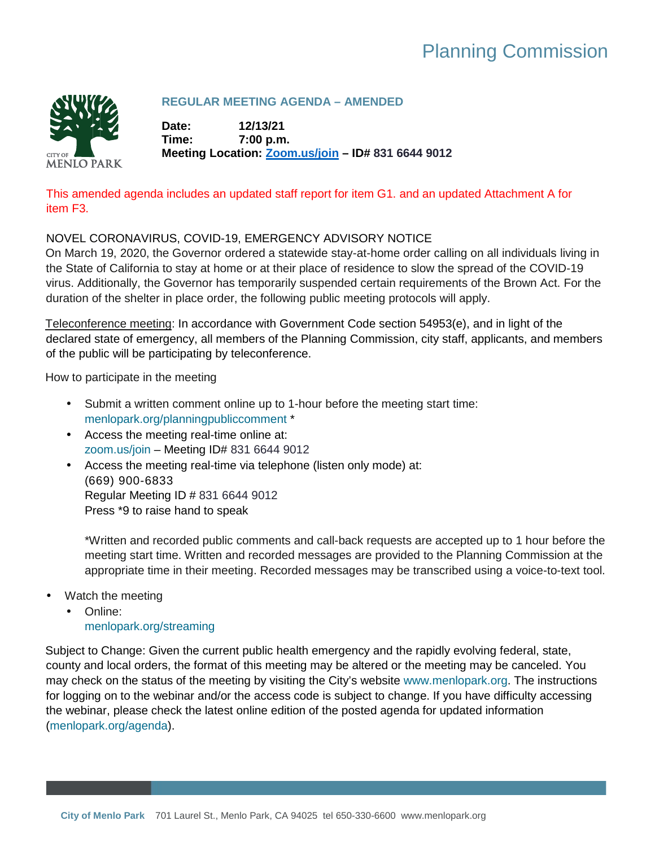# Planning Commission



# **REGULAR MEETING AGENDA – AMENDED**

**Date: 12/13/21 Time: 7:00 p.m. Meeting Location: [Zoom.us/join](https://zoom.us/join) – ID# 831 6644 9012**

# This amended agenda includes an updated staff report for item G1. and an updated Attachment A for item F3.

# NOVEL CORONAVIRUS, COVID-19, EMERGENCY ADVISORY NOTICE

On March 19, 2020, the Governor ordered a statewide stay-at-home order calling on all individuals living in the State of California to stay at home or at their place of residence to slow the spread of the COVID-19 virus. Additionally, the Governor has temporarily suspended certain requirements of the Brown Act. For the duration of the shelter in place order, the following public meeting protocols will apply.

Teleconference meeting: In accordance with Government Code section 54953(e), and in light of the declared state of emergency, all members of the Planning Commission, city staff, applicants, and members of the public will be participating by teleconference.

How to participate in the meeting

- Submit a written comment online up to 1-hour before the meeting start time:  $\mathcal{L}^{\text{max}}$ [menlopark.org/planningpubliccomment](https://menlopark.org/planningpubliccomment) \*
- Access the meeting real-time online at: [zoom.us/join](https://zoom.us/join) – Meeting ID# 831 6644 9012
- Access the meeting real-time via telephone (listen only mode) at: ä, (669) 900-6833 Regular Meeting ID # 831 6644 9012 Press \*9 to raise hand to speak

\*Written and recorded public comments and call-back requests are accepted up to 1 hour before the meeting start time. Written and recorded messages are provided to the Planning Commission at the appropriate time in their meeting. Recorded messages may be transcribed using a voice-to-text tool.

- Watch the meeting
	- Online: [menlopark.org/streaming](https://www.menlopark.org/streaming)

Subject to Change: Given the current public health emergency and the rapidly evolving federal, state, county and local orders, the format of this meeting may be altered or the meeting may be canceled. You may check on the status of the meeting by visiting the City's website [www.menlopark.org.](http://www.menlopark.org/) The instructions for logging on to the webinar and/or the access code is subject to change. If you have difficulty accessing the webinar, please check the latest online edition of the posted agenda for updated information [\(menlopark.org/agenda\)](http://menlopark.org/agenda).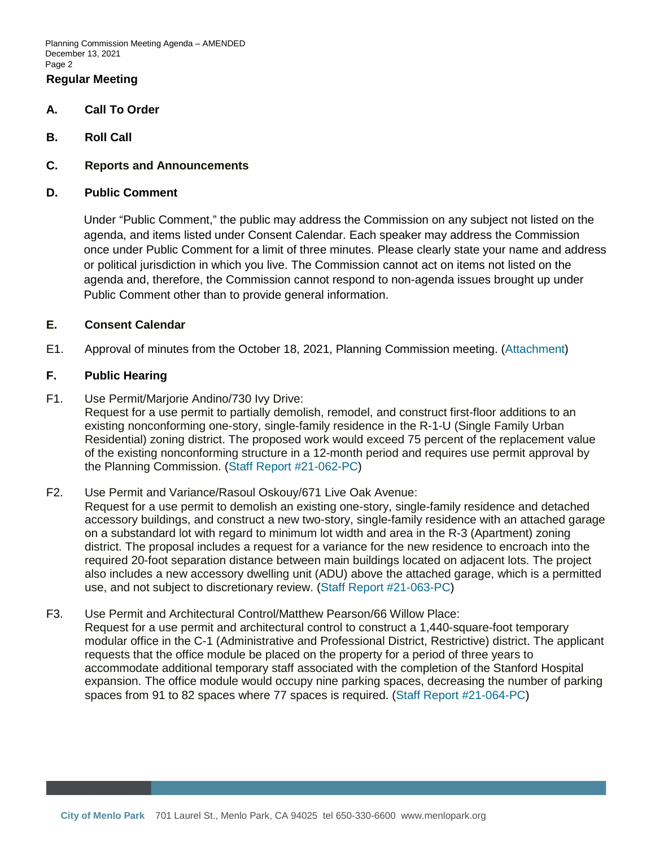Planning Commission Meeting Agenda – AMENDED December 13, 2021 Page 2

## **Regular Meeting**

- **A. Call To Order**
- **B. Roll Call**
- **C. Reports and Announcements**
- **D. Public Comment**

Under "Public Comment," the public may address the Commission on any subject not listed on the agenda, and items listed under Consent Calendar. Each speaker may address the Commission once under Public Comment for a limit of three minutes. Please clearly state your name and address or political jurisdiction in which you live. The Commission cannot act on items not listed on the agenda and, therefore, the Commission cannot respond to non-agenda issues brought up under Public Comment other than to provide general information.

## **E. Consent Calendar**

E1. Approval of minutes from the October 18, 2021, Planning Commission meeting. [\(Attachment\)](https://www.menlopark.org/DocumentCenter/View/30103)

#### **F. Public Hearing**

F1. Use Permit/Marjorie Andino/730 Ivy Drive:

Request for a use permit to partially demolish, remodel, and construct first-floor additions to an existing nonconforming one-story, single-family residence in the R-1-U (Single Family Urban Residential) zoning district. The proposed work would exceed 75 percent of the replacement value of the existing nonconforming structure in a 12-month period and requires use permit approval by the Planning Commission. [\(Staff Report #21-062-PC\)](https://www.menlopark.org/DocumentCenter/View/30106)

F2. Use Permit and Variance/Rasoul Oskouy/671 Live Oak Avenue:

Request for a use permit to demolish an existing one-story, single-family residence and detached accessory buildings, and construct a new two-story, single-family residence with an attached garage on a substandard lot with regard to minimum lot width and area in the R-3 (Apartment) zoning district. The proposal includes a request for a variance for the new residence to encroach into the required 20-foot separation distance between main buildings located on adjacent lots. The project also includes a new accessory dwelling unit (ADU) above the attached garage, which is a permitted use, and not subject to discretionary review. [\(Staff Report #21-063-PC\)](https://www.menlopark.org/DocumentCenter/View/30105)

F3. Use Permit and Architectural Control/Matthew Pearson/66 Willow Place:

Request for a use permit and architectural control to construct a 1,440-square-foot temporary modular office in the C-1 (Administrative and Professional District, Restrictive) district. The applicant requests that the office module be placed on the property for a period of three years to accommodate additional temporary staff associated with the completion of the Stanford Hospital expansion. The office module would occupy nine parking spaces, decreasing the number of parking spaces from 91 to 82 spaces where 77 spaces is required. [\(Staff Report #21-064-PC\)](https://www.menlopark.org/DocumentCenter/View/30104)